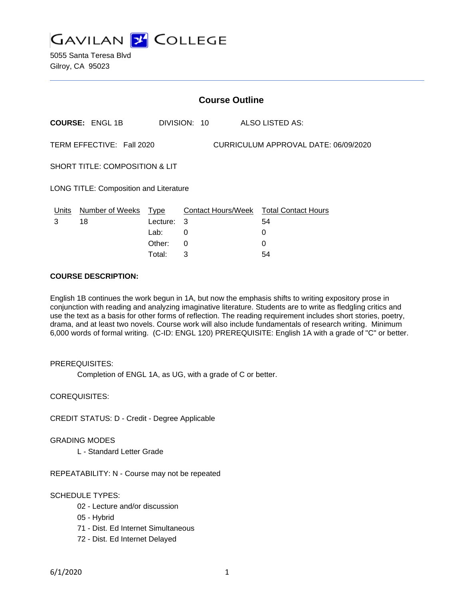

5055 Santa Teresa Blvd Gilroy, CA 95023

|                                                                   | <b>Course Outline</b> |                    |              |  |  |                                              |
|-------------------------------------------------------------------|-----------------------|--------------------|--------------|--|--|----------------------------------------------|
|                                                                   | <b>COURSE: ENGL1B</b> |                    | DIVISION: 10 |  |  | ALSO LISTED AS:                              |
| TERM EFFECTIVE: Fall 2020<br>CURRICULUM APPROVAL DATE: 06/09/2020 |                       |                    |              |  |  |                                              |
| <b>SHORT TITLE: COMPOSITION &amp; LIT</b>                         |                       |                    |              |  |  |                                              |
| <b>LONG TITLE: Composition and Literature</b>                     |                       |                    |              |  |  |                                              |
| Units<br>3                                                        | Number of Weeks<br>18 | Type<br>Lecture: 3 |              |  |  | Contact Hours/Week Total Contact Hours<br>54 |
|                                                                   |                       | Lab:               | 0            |  |  | 0                                            |
|                                                                   |                       | Other:             | $\Omega$     |  |  | 0                                            |

Total: 3 54

#### **COURSE DESCRIPTION:**

English 1B continues the work begun in 1A, but now the emphasis shifts to writing expository prose in conjunction with reading and analyzing imaginative literature. Students are to write as fledgling critics and use the text as a basis for other forms of reflection. The reading requirement includes short stories, poetry, drama, and at least two novels. Course work will also include fundamentals of research writing. Minimum 6,000 words of formal writing. (C-ID: ENGL 120) PREREQUISITE: English 1A with a grade of "C" or better.

#### PREREQUISITES:

Completion of ENGL 1A, as UG, with a grade of C or better.

COREQUISITES:

CREDIT STATUS: D - Credit - Degree Applicable

#### GRADING MODES

L - Standard Letter Grade

REPEATABILITY: N - Course may not be repeated

#### SCHEDULE TYPES:

- 02 Lecture and/or discussion
- 05 Hybrid
- 71 Dist. Ed Internet Simultaneous
- 72 Dist. Ed Internet Delayed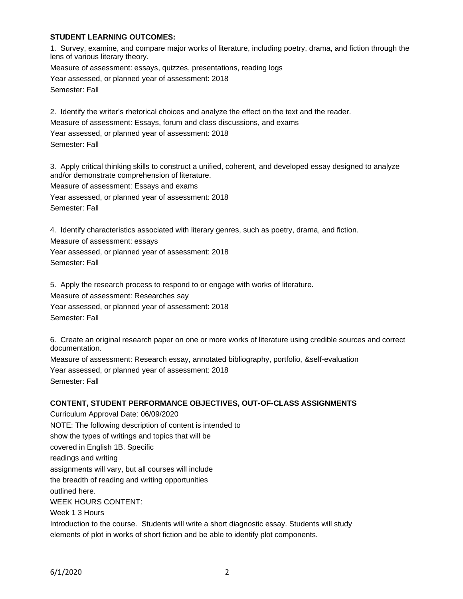### **STUDENT LEARNING OUTCOMES:**

1. Survey, examine, and compare major works of literature, including poetry, drama, and fiction through the lens of various literary theory. Measure of assessment: essays, quizzes, presentations, reading logs

Year assessed, or planned year of assessment: 2018

Semester: Fall

2. Identify the writer's rhetorical choices and analyze the effect on the text and the reader.

Measure of assessment: Essays, forum and class discussions, and exams

Year assessed, or planned year of assessment: 2018

Semester: Fall

3. Apply critical thinking skills to construct a unified, coherent, and developed essay designed to analyze and/or demonstrate comprehension of literature.

Measure of assessment: Essays and exams

Year assessed, or planned year of assessment: 2018 Semester: Fall

4. Identify characteristics associated with literary genres, such as poetry, drama, and fiction.

Measure of assessment: essays

Year assessed, or planned year of assessment: 2018 Semester: Fall

5. Apply the research process to respond to or engage with works of literature. Measure of assessment: Researches say Year assessed, or planned year of assessment: 2018 Semester: Fall

6. Create an original research paper on one or more works of literature using credible sources and correct documentation.

Measure of assessment: Research essay, annotated bibliography, portfolio, &self-evaluation Year assessed, or planned year of assessment: 2018 Semester: Fall

# **CONTENT, STUDENT PERFORMANCE OBJECTIVES, OUT-OF-CLASS ASSIGNMENTS**

Curriculum Approval Date: 06/09/2020 NOTE: The following description of content is intended to show the types of writings and topics that will be covered in English 1B. Specific readings and writing assignments will vary, but all courses will include the breadth of reading and writing opportunities outlined here. WEEK HOURS CONTENT: Week 1 3 Hours Introduction to the course. Students will write a short diagnostic essay. Students will study

elements of plot in works of short fiction and be able to identify plot components.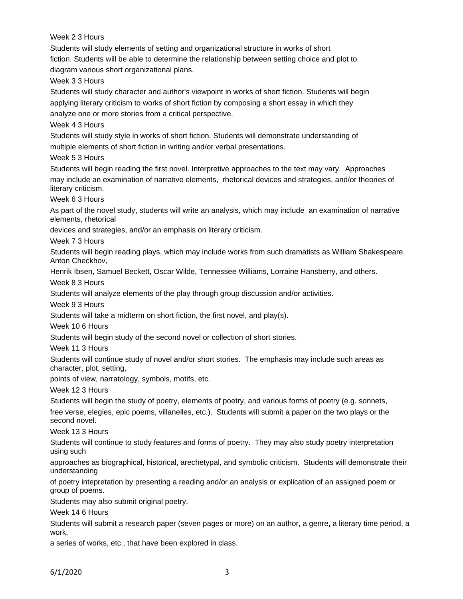Week 2 3 Hours

Students will study elements of setting and organizational structure in works of short fiction. Students will be able to determine the relationship between setting choice and plot to diagram various short organizational plans.

Week 3 3 Hours

Students will study character and author's viewpoint in works of short fiction. Students will begin applying literary criticism to works of short fiction by composing a short essay in which they analyze one or more stories from a critical perspective.

Week 4 3 Hours

Students will study style in works of short fiction. Students will demonstrate understanding of multiple elements of short fiction in writing and/or verbal presentations.

Week 5 3 Hours

Students will begin reading the first novel. Interpretive approaches to the text may vary. Approaches may include an examination of narrative elements, rhetorical devices and strategies, and/or theories of literary criticism.

Week 6 3 Hours

As part of the novel study, students will write an analysis, which may include an examination of narrative elements, rhetorical

devices and strategies, and/or an emphasis on literary criticism.

Week 7 3 Hours

Students will begin reading plays, which may include works from such dramatists as William Shakespeare, Anton Checkhov,

Henrik Ibsen, Samuel Beckett, Oscar Wilde, Tennessee Williams, Lorraine Hansberry, and others.

Week 8 3 Hours

Students will analyze elements of the play through group discussion and/or activities.

Week 9 3 Hours

Students will take a midterm on short fiction, the first novel, and play(s).

Week 10 6 Hours

Students will begin study of the second novel or collection of short stories.

Week 11 3 Hours

Students will continue study of novel and/or short stories. The emphasis may include such areas as character, plot, setting,

points of view, narratology, symbols, motifs, etc.

Week 12 3 Hours

Students will begin the study of poetry, elements of poetry, and various forms of poetry (e.g. sonnets,

free verse, elegies, epic poems, villanelles, etc.). Students will submit a paper on the two plays or the second novel.

Week 13 3 Hours

Students will continue to study features and forms of poetry. They may also study poetry interpretation using such

approaches as biographical, historical, arechetypal, and symbolic criticism. Students will demonstrate their understanding

of poetry intepretation by presenting a reading and/or an analysis or explication of an assigned poem or group of poems.

Students may also submit original poetry.

Week 14 6 Hours

Students will submit a research paper (seven pages or more) on an author, a genre, a literary time period, a work,

a series of works, etc., that have been explored in class.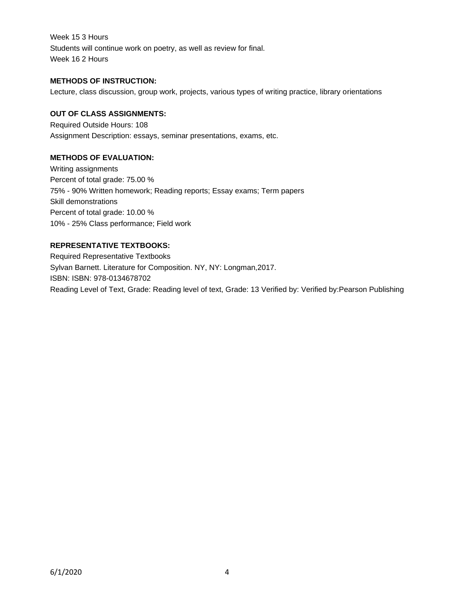Week 15 3 Hours Students will continue work on poetry, as well as review for final. Week 16 2 Hours

### **METHODS OF INSTRUCTION:**

Lecture, class discussion, group work, projects, various types of writing practice, library orientations

### **OUT OF CLASS ASSIGNMENTS:**

Required Outside Hours: 108 Assignment Description: essays, seminar presentations, exams, etc.

## **METHODS OF EVALUATION:**

Writing assignments Percent of total grade: 75.00 % 75% - 90% Written homework; Reading reports; Essay exams; Term papers Skill demonstrations Percent of total grade: 10.00 % 10% - 25% Class performance; Field work

# **REPRESENTATIVE TEXTBOOKS:**

Required Representative Textbooks Sylvan Barnett. Literature for Composition. NY, NY: Longman,2017. ISBN: ISBN: 978-0134678702 Reading Level of Text, Grade: Reading level of text, Grade: 13 Verified by: Verified by:Pearson Publishing